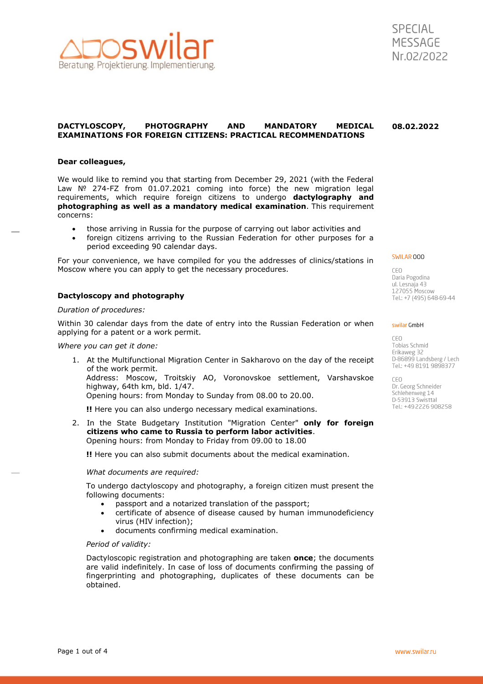



#### **DACTYLOSCOPY, PHOTOGRAPHY AND MANDATORY MEDICAL EXAMINATIONS FOR FOREIGN CITIZENS: PRACTICAL RECOMMENDATIONS 08.02.2022**

### **Dear colleagues,**

We would like to remind you that starting from December 29, 2021 (with the Federal Law № 274-FZ from 01.07.2021 coming into force) the new migration legal requirements, which require foreign citizens to undergo **dactylography and photographing as well as a mandatory medical examination**. This requirement concerns:

- those arriving in Russia for the purpose of carrying out labor activities and
- foreign citizens arriving to the Russian Federation for other purposes for a period exceeding 90 calendar days.

For your convenience, we have compiled for you the addresses of clinics/stations in Moscow where you can apply to get the necessary procedures.

# **Dactyloscopy and photography**

### *Duration of procedures:*

Within 30 calendar days from the date of entry into the Russian Federation or when applying for a patent or a work permit.

#### *Where you can get it done:*

1. At the Multifunctional Migration Center in Sakharovo on the day of the receipt of the work permit.

Address: Moscow, Troitskiy AO, Voronovskoe settlement, Varshavskoe highway, 64th km, bld. 1/47.

Opening hours: from Monday to Sunday from 08.00 to 20.00.

**!!** Here you can also undergo necessary medical examinations.

2. In the State Budgetary Institution "Migration Center" **only for foreign citizens who came to Russia to perform labor activities**. Opening hours: from Monday to Friday from 09.00 to 18.00

**!!** Here you can also submit documents about the medical examination.

#### *What documents are required:*

To undergo dactyloscopy and photography, a foreign citizen must present the following documents:

- passport and a notarized translation of the passport;
- certificate of absence of disease caused by human immunodeficiency virus (HIV infection);
- documents confirming medical examination.

#### *Period of validity:*

Dactyloscopic registration and photographing are taken **once**; the documents are valid indefinitely. In case of loss of documents confirming the passing of fingerprinting and photographing, duplicates of these documents can be obtained.

SWILAR 000

CEO. Daria Pogodina ul. Lesnaja 43 127055 Moscow Tel.: +7 (495) 648-69-44

#### swilar GmbH

CEO Tobias Schmid Erikaweg 32<br>D-86899 Landsberg / Lech Tel.: +49 8191 9898377

**CEO** Dr. Georg Schneider Schlehenweg 14 D-53913 Swisttal Tel.: +49 2226 908258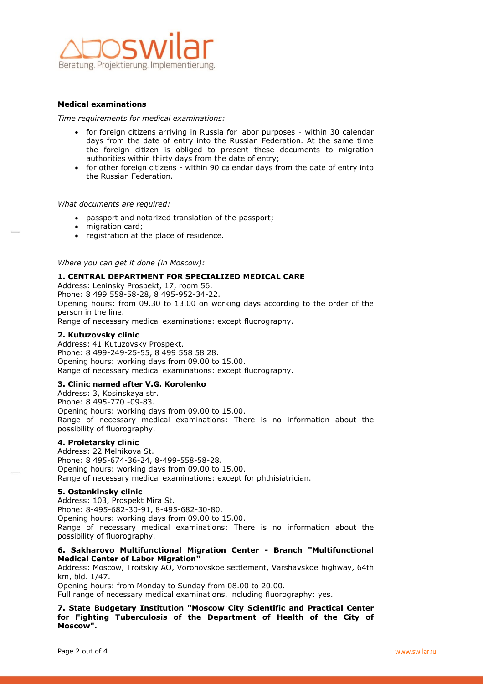

# **Medical examinations**

*Time requirements for medical examinations:*

- for foreign citizens arriving in Russia for labor purposes within 30 calendar days from the date of entry into the Russian Federation. At the same time the foreign citizen is obliged to present these documents to migration authorities within thirty days from the date of entry;
- for other foreign citizens within 90 calendar days from the date of entry into the Russian Federation.

# *What documents are required:*

- passport and notarized translation of the passport;
- migration card;
- registration at the place of residence.

*Where you can get it done (in Moscow):*

# **1. CENTRAL DEPARTMENT FOR SPECIALIZED MEDICAL CARE**

Address: Leninsky Prospekt, 17, room 56. Phone: 8 499 558-58-28, 8 495-952-34-22. Opening hours: from 09.30 to 13.00 on working days according to the order of the person in the line. Range of necessary medical examinations: except fluorography.

# **2. Kutuzovsky clinic**

Address: 41 Kutuzovsky Prospekt. Phone: 8 499-249-25-55, 8 499 558 58 28. Opening hours: working days from 09.00 to 15.00. Range of necessary medical examinations: except fluorography.

# **3. Clinic named after V.G. Korolenko**

Address: 3, Kosinskaya str. Phone: 8 495-770 -09-83. Opening hours: working days from 09.00 to 15.00. Range of necessary medical examinations: There is no information about the possibility of fluorography.

# **4. Proletarsky clinic**

Address: 22 Melnikova St. Phone: 8 495-674-36-24, 8-499-558-58-28. Opening hours: working days from 09.00 to 15.00. Range of necessary medical examinations: except for phthisiatrician.

# **5. Ostankinsky clinic**

Address: 103, Prospekt Mira St. Phone: 8-495-682-30-91, 8-495-682-30-80. Opening hours: working days from 09.00 to 15.00. Range of necessary medical examinations: There is no information about the possibility of fluorography.

# **6. Sakharovo Multifunctional Migration Center - Branch "Multifunctional Medical Center of Labor Migration"**

Address: Moscow, Troitskiy AO, Voronovskoe settlement, Varshavskoe highway, 64th km, bld. 1/47.

Opening hours: from Monday to Sunday from 08.00 to 20.00.

Full range of necessary medical examinations, including fluorography: yes.

**7. State Budgetary Institution "Moscow City Scientific and Practical Center for Fighting Tuberculosis of the Department of Health of the City of Moscow".**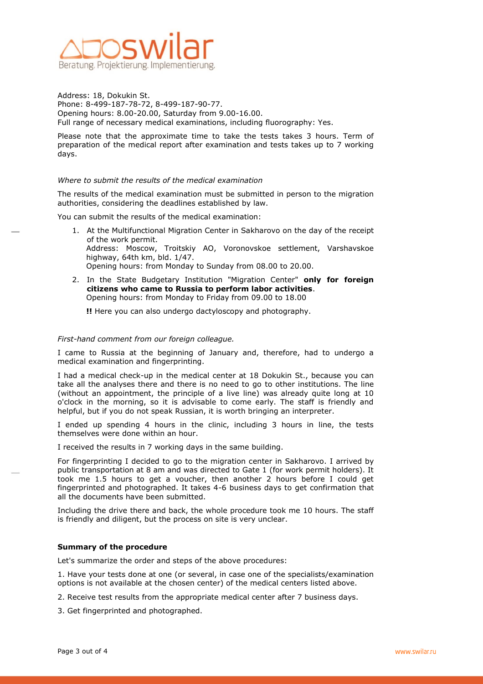

Address: 18, Dokukin St. Phone: 8-499-187-78-72, 8-499-187-90-77. Opening hours: 8.00-20.00, Saturday from 9.00-16.00. Full range of necessary medical examinations, including fluorography: Yes.

Please note that the approximate time to take the tests takes 3 hours. Term of preparation of the medical report after examination and tests takes up to 7 working days.

# *Where to submit the results of the medical examination*

The results of the medical examination must be submitted in person to the migration authorities, considering the deadlines established by law.

You can submit the results of the medical examination:

- 1. At the Multifunctional Migration Center in Sakharovo on the day of the receipt of the work permit. Address: Moscow, Troitskiy AO, Voronovskoe settlement, Varshavskoe highway, 64th km, bld. 1/47. Opening hours: from Monday to Sunday from 08.00 to 20.00.
- 2. In the State Budgetary Institution "Migration Center" **only for foreign citizens who came to Russia to perform labor activities**. Opening hours: from Monday to Friday from 09.00 to 18.00

**!!** Here you can also undergo dactyloscopy and photography.

### *First-hand comment from our foreign colleague.*

I came to Russia at the beginning of January and, therefore, had to undergo a medical examination and fingerprinting.

I had a medical check-up in the medical center at 18 Dokukin St., because you can take all the analyses there and there is no need to go to other institutions. The line (without an appointment, the principle of a live line) was already quite long at 10 o'clock in the morning, so it is advisable to come early. The staff is friendly and helpful, but if you do not speak Russian, it is worth bringing an interpreter.

I ended up spending 4 hours in the clinic, including 3 hours in line, the tests themselves were done within an hour.

I received the results in 7 working days in the same building.

For fingerprinting I decided to go to the migration center in Sakharovo. I arrived by public transportation at 8 am and was directed to Gate 1 (for work permit holders). It took me 1.5 hours to get a voucher, then another 2 hours before I could get fingerprinted and photographed. It takes 4-6 business days to get confirmation that all the documents have been submitted.

Including the drive there and back, the whole procedure took me 10 hours. The staff is friendly and diligent, but the process on site is very unclear.

### **Summary of the procedure**

Let's summarize the order and steps of the above procedures:

1. Have your tests done at one (or several, in case one of the specialists/examination options is not available at the chosen center) of the medical centers listed above.

2. Receive test results from the appropriate medical center after 7 business days.

3. Get fingerprinted and photographed.